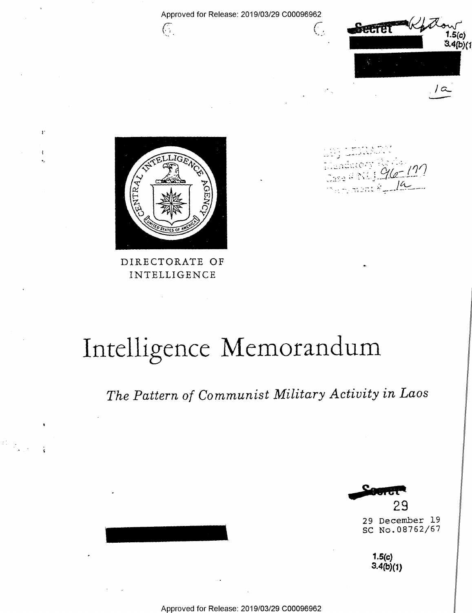

 $\mathbf{r}$ 

-ł

 $\mathbb{C}$ 

DIRECTORATE OF INTELLIGENCE

<-\_ ~\_ r الأراب المتكفر والمس  $\mathcal{F} = \{ \mathcal{F} \mid \mathcal{F} \in \mathcal{F} \mid \mathcal{F} \in \mathcal{F} \}$ .  $\frac{1}{2}$   $\frac{1}{2}$   $\frac{1}{2}$   $\frac{1}{2}$   $\frac{1}{2}$   $\frac{1}{2}$   $\frac{1}{2}$   $\frac{1}{2}$  $\frac{1}{2}$ 

# Intelligence Memorandum

Approved for Release: 2019/03/29 C00096962

 $\bigcirc$ 

The Pattern of Communist Military Activity in Laos

29

29 December l9 SC No.08762/67

> $1.5(c)$  $3.4(b)(1)$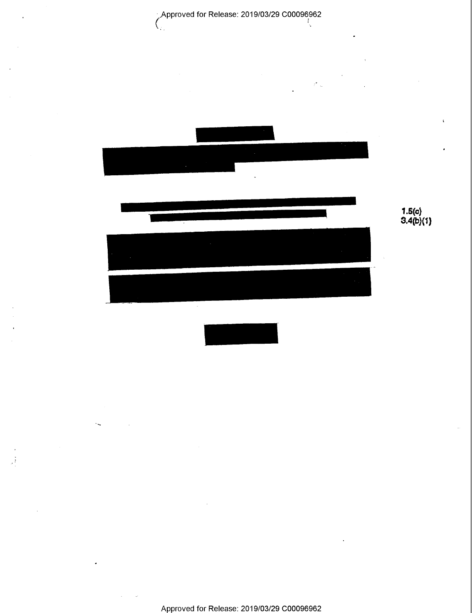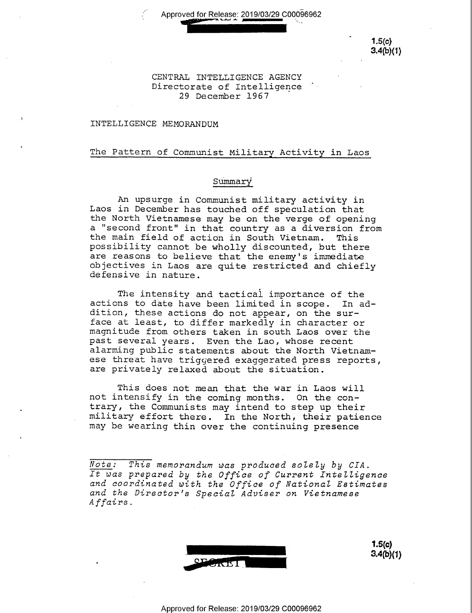Approved for Release: 2019/03/29 C00096962

 $1.5(c)$  $3.4(b)(1)$ 

#### CENTRAL INTELLIGENCE AGENCY Directorate of Intelligence 29 December 1967

#### INTELLIGENCE MEMORANDUM

#### The Pattern of Communist Military Activity in Laos

#### Summary

An upsurge in Communist military activity in Laos in December has touched off speculation that the North Vietnamese may be on the verge of opening a "second front" in that country as a diversion from<br>the main field of action in South Vietnam. This<br>possibility cannot be wholly discounted, but there<br>are reasons to believe that the enemy's immediate<br>objectives in Laos a

The intensity and tactical importance of the actions to date have been limited in scope. In addition, these actions do not appear, on the sur-<br>face at least, to differ markedly in character or magnitude from others taken in south Laos over the<br>past several years. Even the Lao, whose recent<br>alarming public statements about the North Vietnam-<br>ese threat have triggered exaggerated press reports,<br>are privately relax

This does not mean that the war in Laos will<br>not intensify in the coming months. On the con-<br>trary, the Communists may intend to step up their military effort there. In the North, their patience may be wearing thin over the continuing presence

Note: This memorandum was produced solely by CIA.<br>It was prepared by the Office of Current Intelligence<br>and coordinated with the Office of National Estimates<br>and the Director's Special Adviser on Vietnamese Affairs.



1.5(c)<br>3.4(b)(1)

Approved for Release: 2019/03/29 C00096962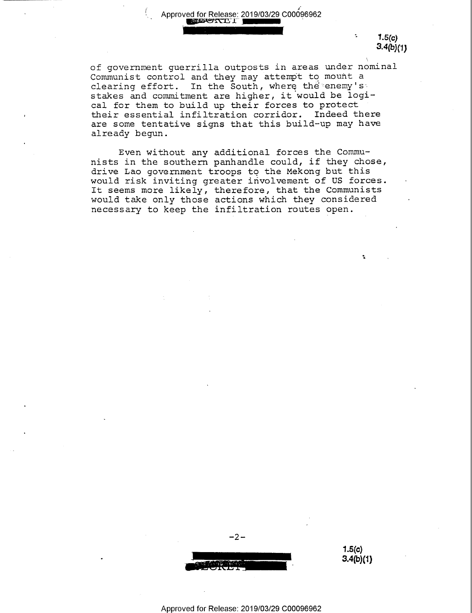Approved for Release: 2019/03/29 C00096962<br> **Express For III** 

'-4

 $1.5(c)$  $3.4(b)(1)$ 

÷,

of government guerrilla outposts in areas under nomi nal Communist control and they may attempt to mount a clearing effort. In the South, where the enemy's stakes and commitment are higher, it would be logical for them to build up their forces to protect their essential infiltration corridor. Indeed there are some tentative signs that this build—up may have already begun.

I

Even without any additional forces the Commu- ${\tt nists}$  in the southern panhandle could, if they chose, drive Lao government troops to the Mekong but this would risk inviting greater involvement of US forces It seems more likely, therefore, that the Communists would take only those actions which they considered necessary to keep the infiltration routes open.



1.5(c)  $3.4(b)(1)$ 

Approved for Release: 2019/03/29 C00096962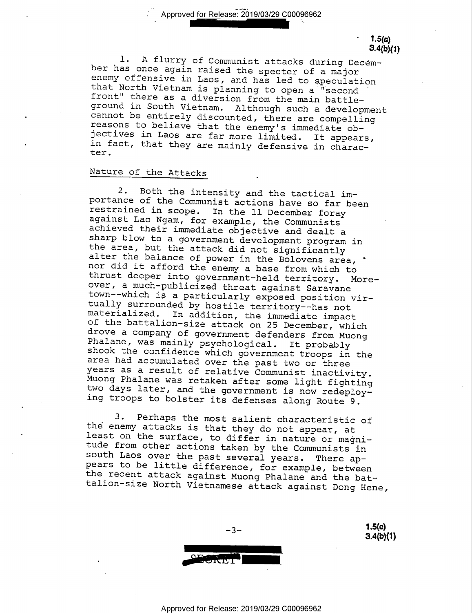" Approved for Release: 2019/03/29 C00096962

 $1.5(a)$ 

3.4(b)(1)<br>1. A flurry of Communist attacks during December has once again raised the specter of a major<br>enemy offensive in Laos, and has led to speculation<br>that North Vietnam is planning to open a "second<br>front" there as a diversion from the main battleground in South Vietnam. Although such a development<br>cannot be entirely discounted, there are compelling<br>reasons to believe that the enemy's immediate ob-<br>jectives in Laos are far more limited. It appears,<br>in fact, that th

### Nature of the Attacks \_

x

2. Both the intensity and the tactical im-<br>portance of the Communist actions have so far been<br>restrained in scope. In the ll December foray<br>against Lao Ngam, for example, the Communists<br>achieved their immediate objective a sharp blow to a government development program in<br>the area, but the attack did not significantly<br>alter the balance of power in the Bolovens area, '<br>nor did it afford the enemy a base from which to thrust deeper into government-held territory. More-<br>over, a much-publicized threat against Saravane<br>town--which is a particularly exposed position vir-<br>tually surrounded by hostile territory--has not<br>materialized. In addit

3. Perhaps the most salient characteristic of<br>the enemy attacks is that they do not appear, at<br>least on the surface, to differ in nature or magni-<br>tude from other actions taken by the Communists in<br>south Laos over the past



Approved for Release: 2019/03/29 C00096962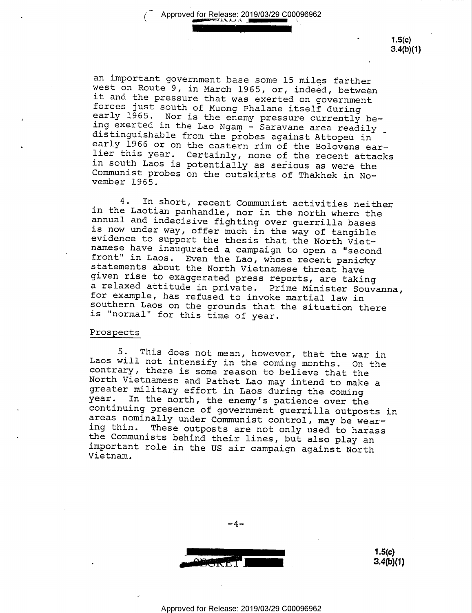,IIIIIIIIIIIIIIIIIl

(

1.5(c) 3.4(b)(1)

an important government base some 15 miles farther<br>west on Route 9, in March 1965, or, indeed, between<br>it and the pressure that was exerted on government<br>forces just south of Muong Phalane itself during<br>early 1965. Nor is

4. In short, recent Communist activities neither<br>in the Laotian panhandle, nor in the north where the<br>annual and indecisive fighting over guerrilla bases<br>is now under way, offer much in the way of tangible<br>evidence<br>to supp

#### Prospects

5. This does not mean, however, that the war in<br>Laos will not intensify in the coming months. On the<br>contrary, there is some reason to believe that the<br>North Vietnamese and Pathet Lao may intend to make a<br>greater military



 $3.4(b)(1)$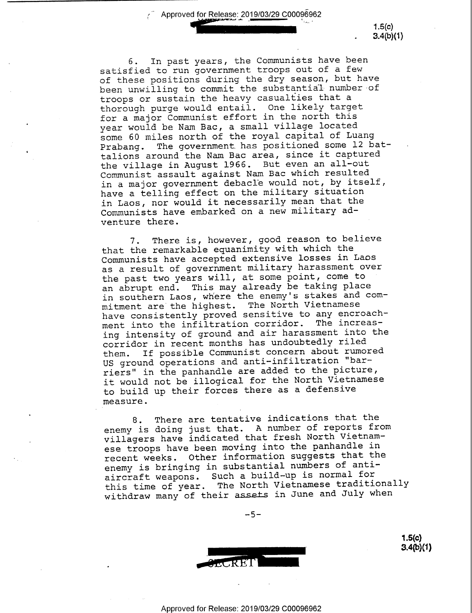$\frac{1}{2}$  Approved for Release: 2019/03/29 C00096962

 $1.5(c)$  $3.4(b)(1)$ 

6. In past years, the Communists have been satisfied to run government troops out of a few of these positions during the dry season, but have been unwilling to commit the substantial-number of troops or sustain the heavy casualties that <sup>a</sup> thorough purge would entail. One likely target for a major Communist effort in the north this year would be Nam Bac, a small village located some 60 miles north of the royal capital of Luang Prabang. The government has positioned some 12 battalions around the Nam Bac area, since it captured the village in August 1966. But even an all-out Communist assault against Nam Bac which resulted in a major government debacle would not, by itself, have a telling effect on the military situation in Laos, nor would it necessarily mean that the Communists have embarked on a new military adventure there.

7. There is, however, good reason to believe that the remarkable equanimity with which the Communists have accepted extensive losses in Laos as a result of government military harassment over the past two years will, at some point, come to an abrupt end. This may already be taking place in southern Laos, where the enemy's stakes and commitment are the highest. The North Vietnamese have consistently proved sensitive to any encroachment into the infiltration corridor. The increasing intensity of ground and air harassment into the corridor in recent months has undoubtedly riled<br>them. If possible Communist concern about rumo: If possible Communist concern about rumored US ground operations and anti—infiltration "barriers" in the panhandle are added to the picture, it would not be illogical for the North Vietnamese to build up their forces there as a defensive measure.

8. There are tentative indications that the enemy is doing just that. A number of reports from villagers have indicated that fresh North Vietnamese troops have been moving into the panhandle in recent weeks. Other information suggests that the enemy is bringing in substantial numbers of antiaircraft weapons. Such a build-up is normal for this time of year. The North Vietnamese traditionally withdraw many of their assets in June and July when

 $-5-$ 



 $1.5(c)$ <br> $3.4(b)(1)$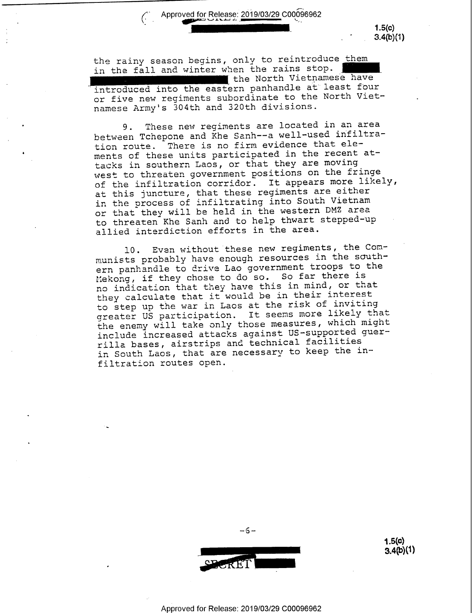## Approved for Release: 2019/03/29 C00096962

.

 $1.5(c)$  $3.4(b)(1)$ 

the rainy season begins, only to reintroduce them in the fall and winter when the rains stop. the North Vietnamese have 'introduced into the eastern panhandle at least four or five new regiments subordinate to the North Vietnamese Army's 304th and 320th divisions.

9. These new regiments are located in an area between Tchepone and Khe Sanh——a well—used infiltration route. There is no firm evidence that elements of these units participated in the recent attacks in southern Laos, or that they are moving west to threaten government positions on the fringe of the infiltration corridor. It appears more likely, at this juncture, that these regiments are either in the process of infiltrating into South Vietnam or that they will be held in the western DMZ area to threaten Khe Sanh and to help thwart stepped-up allied interdiction efforts in the area.

l0. Even without these new regiments, the Communists probably have enough resources in the southern panhandle to drive Lao government troops to the Mekong, if they chose to do so. So far there is no indication that they have this in mind, or that they calculate that it would be in their interest to step up the war in Laos at the risk of inviting greater US participation. It seems more likely that the enemy will take only those measures, which might include increased attacks against US-supported guerrilla bases, airstrips and technical facilities in South Laos, that are necessary to keep the infiltration routes open.



 $-6-$ 

 $1.5(c)$ 3-4(b)(1)